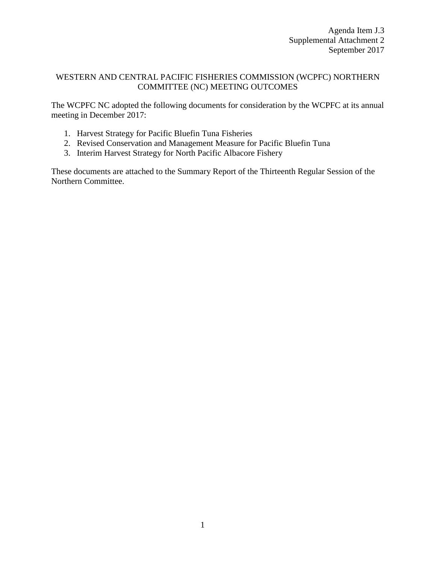## WESTERN AND CENTRAL PACIFIC FISHERIES COMMISSION (WCPFC) NORTHERN COMMITTEE (NC) MEETING OUTCOMES

The WCPFC NC adopted the following documents for consideration by the WCPFC at its annual meeting in December 2017:

- 1. Harvest Strategy for Pacific Bluefin Tuna Fisheries
- 2. Revised Conservation and Management Measure for Pacific Bluefin Tuna
- 3. Interim Harvest Strategy for North Pacific Albacore Fishery

These documents are attached to the Summary Report of the Thirteenth Regular Session of the Northern Committee.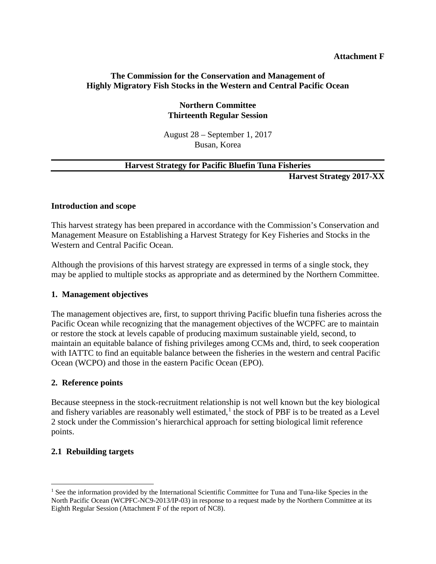#### **Attachment F**

### **The Commission for the Conservation and Management of Highly Migratory Fish Stocks in the Western and Central Pacific Ocean**

### **Northern Committee Thirteenth Regular Session**

August 28 – September 1, 2017 Busan, Korea

### **Harvest Strategy for Pacific Bluefin Tuna Fisheries**

**Harvest Strategy 2017-XX**

#### **Introduction and scope**

This harvest strategy has been prepared in accordance with the Commission's Conservation and Management Measure on Establishing a Harvest Strategy for Key Fisheries and Stocks in the Western and Central Pacific Ocean.

Although the provisions of this harvest strategy are expressed in terms of a single stock, they may be applied to multiple stocks as appropriate and as determined by the Northern Committee.

### **1. Management objectives**

The management objectives are, first, to support thriving Pacific bluefin tuna fisheries across the Pacific Ocean while recognizing that the management objectives of the WCPFC are to maintain or restore the stock at levels capable of producing maximum sustainable yield, second, to maintain an equitable balance of fishing privileges among CCMs and, third, to seek cooperation with IATTC to find an equitable balance between the fisheries in the western and central Pacific Ocean (WCPO) and those in the eastern Pacific Ocean (EPO).

#### **2. Reference points**

Because steepness in the stock-recruitment relationship is not well known but the key biological and fishery variables are reasonably well estimated, $<sup>1</sup>$  $<sup>1</sup>$  $<sup>1</sup>$  the stock of PBF is to be treated as a Level</sup> 2 stock under the Commission's hierarchical approach for setting biological limit reference points.

### **2.1 Rebuilding targets**

<span id="page-1-0"></span><sup>&</sup>lt;sup>1</sup> See the information provided by the International Scientific Committee for Tuna and Tuna-like Species in the North Pacific Ocean (WCPFC-NC9-2013/IP-03) in response to a request made by the Northern Committee at its Eighth Regular Session (Attachment F of the report of NC8).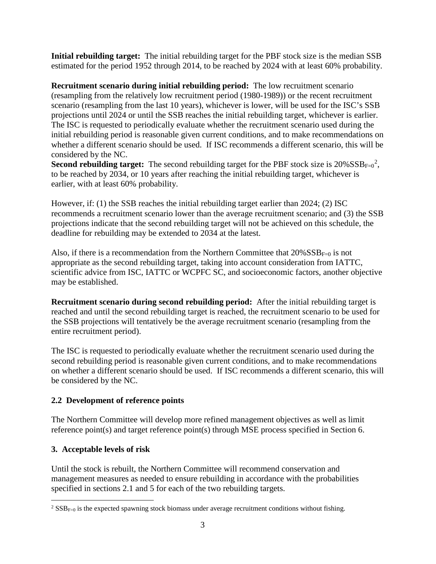**Initial rebuilding target:** The initial rebuilding target for the PBF stock size is the median SSB estimated for the period 1952 through 2014, to be reached by 2024 with at least 60% probability.

**Recruitment scenario during initial rebuilding period:** The low recruitment scenario (resampling from the relatively low recruitment period (1980-1989)) or the recent recruitment scenario (resampling from the last 10 years), whichever is lower, will be used for the ISC's SSB projections until 2024 or until the SSB reaches the initial rebuilding target, whichever is earlier. The ISC is requested to periodically evaluate whether the recruitment scenario used during the initial rebuilding period is reasonable given current conditions, and to make recommendations on whether a different scenario should be used. If ISC recommends a different scenario, this will be considered by the NC.

**Second rebuilding target:** The second rebuilding target for the PBF stock size is  $20\%$  $20\%$   $\text{SSB}_{\text{F=0}}^2$ , to be reached by 2034, or 10 years after reaching the initial rebuilding target, whichever is earlier, with at least 60% probability.

However, if: (1) the SSB reaches the initial rebuilding target earlier than 2024; (2) ISC recommends a recruitment scenario lower than the average recruitment scenario; and (3) the SSB projections indicate that the second rebuilding target will not be achieved on this schedule, the deadline for rebuilding may be extended to 2034 at the latest.

Also, if there is a recommendation from the Northern Committee that  $20\%SSB_{F=0}$  is not appropriate as the second rebuilding target, taking into account consideration from IATTC, scientific advice from ISC, IATTC or WCPFC SC, and socioeconomic factors, another objective may be established.

**Recruitment scenario during second rebuilding period:** After the initial rebuilding target is reached and until the second rebuilding target is reached, the recruitment scenario to be used for the SSB projections will tentatively be the average recruitment scenario (resampling from the entire recruitment period).

The ISC is requested to periodically evaluate whether the recruitment scenario used during the second rebuilding period is reasonable given current conditions, and to make recommendations on whether a different scenario should be used. If ISC recommends a different scenario, this will be considered by the NC.

# **2.2 Development of reference points**

The Northern Committee will develop more refined management objectives as well as limit reference point(s) and target reference point(s) through MSE process specified in Section 6.

# **3. Acceptable levels of risk**

Until the stock is rebuilt, the Northern Committee will recommend conservation and management measures as needed to ensure rebuilding in accordance with the probabilities specified in sections 2.1 and 5 for each of the two rebuilding targets.

<span id="page-2-0"></span><sup>&</sup>lt;sup>2</sup> SSB<sub>F=0</sub> is the expected spawning stock biomass under average recruitment conditions without fishing.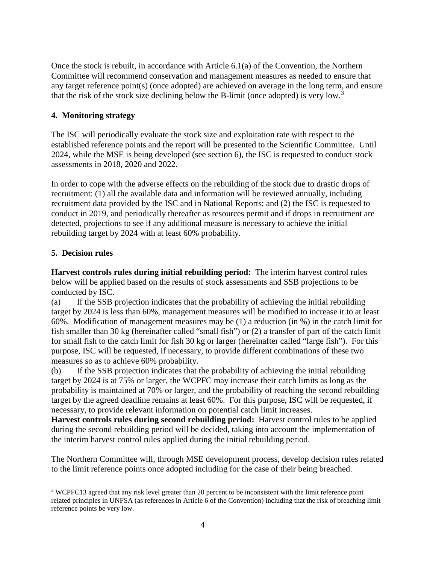Once the stock is rebuilt, in accordance with Article 6.1(a) of the Convention, the Northern Committee will recommend conservation and management measures as needed to ensure that any target reference point(s) (once adopted) are achieved on average in the long term, and ensure that the risk of the stock size declining below the B-limit (once adopted) is very low.<sup>[3](#page-3-0)</sup>

# **4. Monitoring strategy**

The ISC will periodically evaluate the stock size and exploitation rate with respect to the established reference points and the report will be presented to the Scientific Committee. Until 2024, while the MSE is being developed (see section 6), the ISC is requested to conduct stock assessments in 2018, 2020 and 2022.

In order to cope with the adverse effects on the rebuilding of the stock due to drastic drops of recruitment: (1) all the available data and information will be reviewed annually, including recruitment data provided by the ISC and in National Reports; and (2) the ISC is requested to conduct in 2019, and periodically thereafter as resources permit and if drops in recruitment are detected, projections to see if any additional measure is necessary to achieve the initial rebuilding target by 2024 with at least 60% probability.

# **5. Decision rules**

**Harvest controls rules during initial rebuilding period:** The interim harvest control rules below will be applied based on the results of stock assessments and SSB projections to be conducted by ISC.

(a) If the SSB projection indicates that the probability of achieving the initial rebuilding target by 2024 is less than 60%, management measures will be modified to increase it to at least 60%. Modification of management measures may be (1) a reduction (in %) in the catch limit for fish smaller than 30 kg (hereinafter called "small fish") or (2) a transfer of part of the catch limit for small fish to the catch limit for fish 30 kg or larger (hereinafter called "large fish"). For this purpose, ISC will be requested, if necessary, to provide different combinations of these two measures so as to achieve 60% probability.

(b) If the SSB projection indicates that the probability of achieving the initial rebuilding target by 2024 is at 75% or larger, the WCPFC may increase their catch limits as long as the probability is maintained at 70% or larger, and the probability of reaching the second rebuilding target by the agreed deadline remains at least 60%. For this purpose, ISC will be requested, if necessary, to provide relevant information on potential catch limit increases.

**Harvest controls rules during second rebuilding period:** Harvest control rules to be applied during the second rebuilding period will be decided, taking into account the implementation of the interim harvest control rules applied during the initial rebuilding period.

The Northern Committee will, through MSE development process, develop decision rules related to the limit reference points once adopted including for the case of their being breached.

<span id="page-3-0"></span> <sup>3</sup> WCPFC13 agreed that any risk level greater than 20 percent to be inconsistent with the limit reference point related principles in UNFSA (as references in Article 6 of the Convention) including that the risk of breaching limit reference points be very low.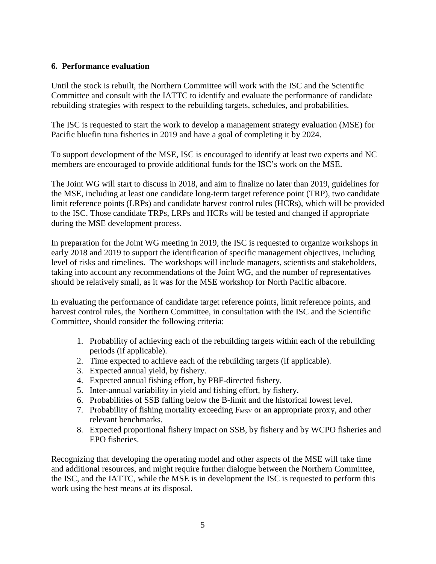### **6. Performance evaluation**

Until the stock is rebuilt, the Northern Committee will work with the ISC and the Scientific Committee and consult with the IATTC to identify and evaluate the performance of candidate rebuilding strategies with respect to the rebuilding targets, schedules, and probabilities.

The ISC is requested to start the work to develop a management strategy evaluation (MSE) for Pacific bluefin tuna fisheries in 2019 and have a goal of completing it by 2024.

To support development of the MSE, ISC is encouraged to identify at least two experts and NC members are encouraged to provide additional funds for the ISC's work on the MSE.

The Joint WG will start to discuss in 2018, and aim to finalize no later than 2019, guidelines for the MSE, including at least one candidate long-term target reference point (TRP), two candidate limit reference points (LRPs) and candidate harvest control rules (HCRs), which will be provided to the ISC. Those candidate TRPs, LRPs and HCRs will be tested and changed if appropriate during the MSE development process.

In preparation for the Joint WG meeting in 2019, the ISC is requested to organize workshops in early 2018 and 2019 to support the identification of specific management objectives, including level of risks and timelines. The workshops will include managers, scientists and stakeholders, taking into account any recommendations of the Joint WG, and the number of representatives should be relatively small, as it was for the MSE workshop for North Pacific albacore.

In evaluating the performance of candidate target reference points, limit reference points, and harvest control rules, the Northern Committee, in consultation with the ISC and the Scientific Committee, should consider the following criteria:

- 1. Probability of achieving each of the rebuilding targets within each of the rebuilding periods (if applicable).
- 2. Time expected to achieve each of the rebuilding targets (if applicable).
- 3. Expected annual yield, by fishery.
- 4. Expected annual fishing effort, by PBF-directed fishery.
- 5. Inter-annual variability in yield and fishing effort, by fishery.
- 6. Probabilities of SSB falling below the B-limit and the historical lowest level.
- 7. Probability of fishing mortality exceeding F<sub>MSY</sub> or an appropriate proxy, and other relevant benchmarks.
- 8. Expected proportional fishery impact on SSB, by fishery and by WCPO fisheries and EPO fisheries.

Recognizing that developing the operating model and other aspects of the MSE will take time and additional resources, and might require further dialogue between the Northern Committee, the ISC, and the IATTC, while the MSE is in development the ISC is requested to perform this work using the best means at its disposal.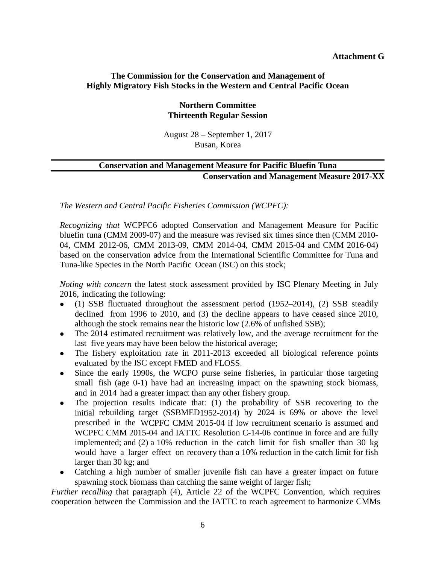#### **Attachment G**

### **The Commission for the Conservation and Management of Highly Migratory Fish Stocks in the Western and Central Pacific Ocean**

### **Northern Committee Thirteenth Regular Session**

August 28 – September 1, 2017 Busan, Korea

## **Conservation and Management Measure for Pacific Bluefin Tuna Conservation and Management Measure 2017-XX**

*The Western and Central Pacific Fisheries Commission (WCPFC):*

*Recognizing that* WCPFC6 adopted Conservation and Management Measure for Pacific bluefin tuna (CMM 2009-07) and the measure was revised six times since then (CMM 2010- 04, CMM 2012-06, CMM 2013-09, CMM 2014-04, CMM 2015-04 and CMM 2016-04) based on the conservation advice from the International Scientific Committee for Tuna and Tuna-like Species in the North Pacific Ocean (ISC) on this stock;

*Noting with concern* the latest stock assessment provided by ISC Plenary Meeting in July 2016, indicating the following:

- (1) SSB fluctuated throughout the assessment period (1952–2014), (2) SSB steadily declined from 1996 to 2010, and (3) the decline appears to have ceased since 2010, although the stock remains near the historic low (2.6% of unfished SSB);
- The 2014 estimated recruitment was relatively low, and the average recruitment for the last five years may have been below the historical average;
- The fishery exploitation rate in 2011-2013 exceeded all biological reference points evaluated by the ISC except FMED and FLOSS.
- Since the early 1990s, the WCPO purse seine fisheries, in particular those targeting small fish (age 0-1) have had an increasing impact on the spawning stock biomass, and in 2014 had a greater impact than any other fishery group.
- The projection results indicate that: (1) the probability of SSB recovering to the initial rebuilding target (SSBMED1952-2014) by 2024 is 69% or above the level prescribed in the WCPFC CMM 2015-04 if low recruitment scenario is assumed and WCPFC CMM 2015-04 and IATTC Resolution C-14-06 continue in force and are fully implemented; and (2) a 10% reduction in the catch limit for fish smaller than 30 kg would have a larger effect on recovery than a 10% reduction in the catch limit for fish larger than 30 kg; and
- Catching a high number of smaller juvenile fish can have a greater impact on future spawning stock biomass than catching the same weight of larger fish;

*Further recalling* that paragraph (4), Article 22 of the WCPFC Convention, which requires cooperation between the Commission and the IATTC to reach agreement to harmonize CMMs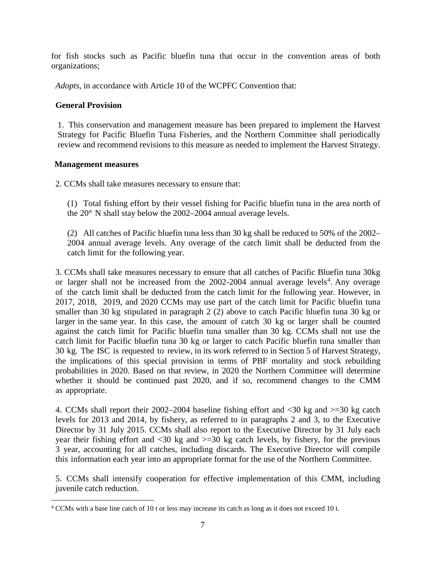for fish stocks such as Pacific bluefin tuna that occur in the convention areas of both organizations;

*Adopts*, in accordance with Article 10 of the WCPFC Convention that:

### **General Provision**

1. This conservation and management measure has been prepared to implement the Harvest Strategy for Pacific Bluefin Tuna Fisheries, and the Northern Committee shall periodically review and recommend revisions to this measure as needed to implement the Harvest Strategy.

### **Management measures**

2. CCMs shall take measures necessary to ensure that:

(1) Total fishing effort by their vessel fishing for Pacific bluefin tuna in the area north of the 20° N shall stay below the 2002–2004 annual average levels.

(2) All catches of Pacific bluefin tuna less than 30 kg shall be reduced to 50% of the 2002– 2004 annual average levels. Any overage of the catch limit shall be deducted from the catch limit for the following year.

3. CCMs shall take measures necessary to ensure that all catches of Pacific Bluefin tuna 30kg or larger shall not be increased from the 2002-200[4](#page-6-0) annual average levels<sup>4</sup>. Any overage of the catch limit shall be deducted from the catch limit for the following year. However, in 2017, 2018, 2019, and 2020 CCMs may use part of the catch limit for Pacific bluefin tuna smaller than 30 kg stipulated in paragraph 2 (2) above to catch Pacific bluefin tuna 30 kg or larger in the same year. In this case, the amount of catch 30 kg or larger shall be counted against the catch limit for Pacific bluefin tuna smaller than 30 kg. CCMs shall not use the catch limit for Pacific bluefin tuna 30 kg or larger to catch Pacific bluefin tuna smaller than 30 kg. The ISC is requested to review, in its work referred to in Section 5 of Harvest Strategy, the implications of this special provision in terms of PBF mortality and stock rebuilding probabilities in 2020. Based on that review, in 2020 the Northern Committee will determine whether it should be continued past 2020, and if so, recommend changes to the CMM as appropriate.

4. CCMs shall report their 2002–2004 baseline fishing effort and <30 kg and >=30 kg catch levels for 2013 and 2014, by fishery, as referred to in paragraphs 2 and 3, to the Executive Director by 31 July 2015. CCMs shall also report to the Executive Director by 31 July each year their fishing effort and  $\langle 30 \text{ kg} \rangle$  and  $\langle -30 \text{ kg} \rangle$  catch levels, by fishery, for the previous 3 year, accounting for all catches, including discards. The Executive Director will compile this information each year into an appropriate format for the use of the Northern Committee.

5. CCMs shall intensify cooperation for effective implementation of this CMM, including juvenile catch reduction.

<span id="page-6-0"></span> <sup>4</sup> CCMs with a base line catch of 10 t or less may increase its catch as long as it does not exceed 10 t.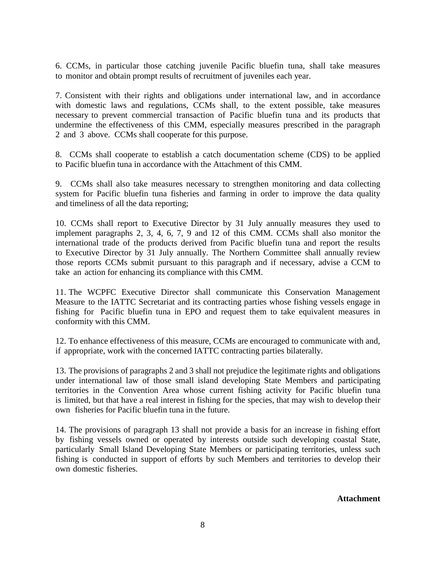6. CCMs, in particular those catching juvenile Pacific bluefin tuna, shall take measures to monitor and obtain prompt results of recruitment of juveniles each year.

7. Consistent with their rights and obligations under international law, and in accordance with domestic laws and regulations, CCMs shall, to the extent possible, take measures necessary to prevent commercial transaction of Pacific bluefin tuna and its products that undermine the effectiveness of this CMM, especially measures prescribed in the paragraph 2 and 3 above. CCMs shall cooperate for this purpose.

8. CCMs shall cooperate to establish a catch documentation scheme (CDS) to be applied to Pacific bluefin tuna in accordance with the Attachment of this CMM.

9. CCMs shall also take measures necessary to strengthen monitoring and data collecting system for Pacific bluefin tuna fisheries and farming in order to improve the data quality and timeliness of all the data reporting;

10. CCMs shall report to Executive Director by 31 July annually measures they used to implement paragraphs 2, 3, 4, 6, 7, 9 and 12 of this CMM. CCMs shall also monitor the international trade of the products derived from Pacific bluefin tuna and report the results to Executive Director by 31 July annually. The Northern Committee shall annually review those reports CCMs submit pursuant to this paragraph and if necessary, advise a CCM to take an action for enhancing its compliance with this CMM.

11. The WCPFC Executive Director shall communicate this Conservation Management Measure to the IATTC Secretariat and its contracting parties whose fishing vessels engage in fishing for Pacific bluefin tuna in EPO and request them to take equivalent measures in conformity with this CMM.

12. To enhance effectiveness of this measure, CCMs are encouraged to communicate with and, if appropriate, work with the concerned IATTC contracting parties bilaterally.

13. The provisions of paragraphs 2 and 3 shall not prejudice the legitimate rights and obligations under international law of those small island developing State Members and participating territories in the Convention Area whose current fishing activity for Pacific bluefin tuna is limited, but that have a real interest in fishing for the species, that may wish to develop their own fisheries for Pacific bluefin tuna in the future.

14. The provisions of paragraph 13 shall not provide a basis for an increase in fishing effort by fishing vessels owned or operated by interests outside such developing coastal State, particularly Small Island Developing State Members or participating territories, unless such fishing is conducted in support of efforts by such Members and territories to develop their own domestic fisheries.

**Attachment**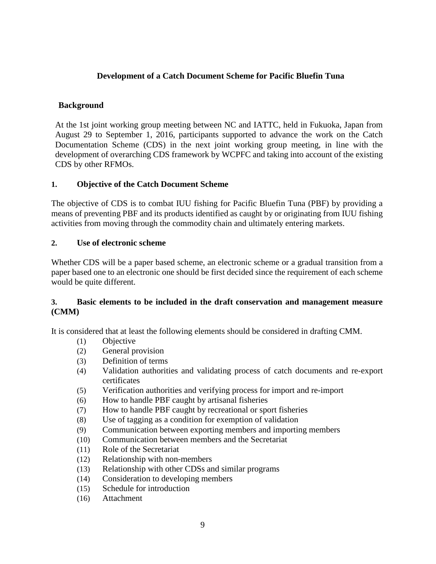# **Development of a Catch Document Scheme for Pacific Bluefin Tuna**

## **Background**

At the 1st joint working group meeting between NC and IATTC, held in Fukuoka, Japan from August 29 to September 1, 2016, participants supported to advance the work on the Catch Documentation Scheme (CDS) in the next joint working group meeting, in line with the development of overarching CDS framework by WCPFC and taking into account of the existing CDS by other RFMOs.

## **1. Objective of the Catch Document Scheme**

The objective of CDS is to combat IUU fishing for Pacific Bluefin Tuna (PBF) by providing a means of preventing PBF and its products identified as caught by or originating from IUU fishing activities from moving through the commodity chain and ultimately entering markets.

## **2. Use of electronic scheme**

Whether CDS will be a paper based scheme, an electronic scheme or a gradual transition from a paper based one to an electronic one should be first decided since the requirement of each scheme would be quite different.

## **3. Basic elements to be included in the draft conservation and management measure (CMM)**

It is considered that at least the following elements should be considered in drafting CMM.

- (1) Objective
- (2) General provision
- (3) Definition of terms
- (4) Validation authorities and validating process of catch documents and re-export certificates
- (5) Verification authorities and verifying process for import and re-import
- (6) How to handle PBF caught by artisanal fisheries
- (7) How to handle PBF caught by recreational or sport fisheries
- (8) Use of tagging as a condition for exemption of validation
- (9) Communication between exporting members and importing members
- (10) Communication between members and the Secretariat
- (11) Role of the Secretariat
- (12) Relationship with non-members
- (13) Relationship with other CDSs and similar programs
- (14) Consideration to developing members
- (15) Schedule for introduction
- (16) Attachment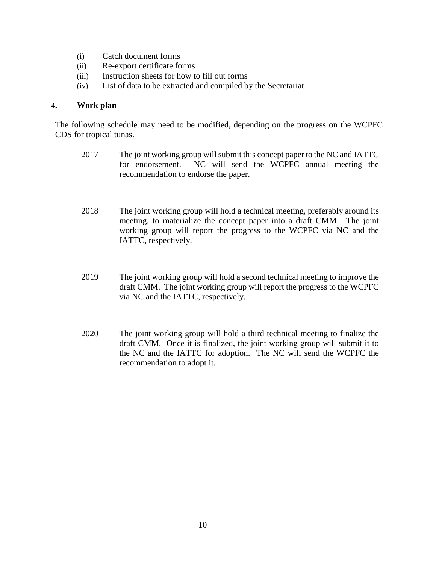- (i) Catch document forms
- (ii) Re-export certificate forms
- (iii) Instruction sheets for how to fill out forms
- (iv) List of data to be extracted and compiled by the Secretariat

### **4. Work plan**

The following schedule may need to be modified, depending on the progress on the WCPFC CDS for tropical tunas.

- 2017 The joint working group will submit this concept paper to the NC and IATTC for endorsement. NC will send the WCPFC annual meeting the recommendation to endorse the paper.
- 2018 The joint working group will hold a technical meeting, preferably around its meeting, to materialize the concept paper into a draft CMM. The joint working group will report the progress to the WCPFC via NC and the IATTC, respectively.
- 2019 The joint working group will hold a second technical meeting to improve the draft CMM. The joint working group will report the progress to the WCPFC via NC and the IATTC, respectively.
- 2020 The joint working group will hold a third technical meeting to finalize the draft CMM. Once it is finalized, the joint working group will submit it to the NC and the IATTC for adoption. The NC will send the WCPFC the recommendation to adopt it.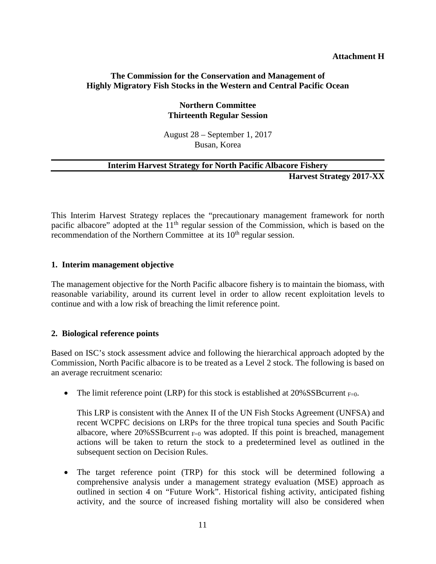#### **Attachment H**

### **The Commission for the Conservation and Management of Highly Migratory Fish Stocks in the Western and Central Pacific Ocean**

### **Northern Committee Thirteenth Regular Session**

August 28 – September 1, 2017 Busan, Korea

#### **Interim Harvest Strategy for North Pacific Albacore Fishery**

**Harvest Strategy 2017-XX**

This Interim Harvest Strategy replaces the "precautionary management framework for north pacific albacore" adopted at the 11<sup>th</sup> regular session of the Commission, which is based on the recommendation of the Northern Committee at its 10<sup>th</sup> regular session.

#### **1. Interim management objective**

The management objective for the North Pacific albacore fishery is to maintain the biomass, with reasonable variability, around its current level in order to allow recent exploitation levels to continue and with a low risk of breaching the limit reference point.

### **2. Biological reference points**

Based on ISC's stock assessment advice and following the hierarchical approach adopted by the Commission, North Pacific albacore is to be treated as a Level 2 stock. The following is based on an average recruitment scenario:

• The limit reference point (LRP) for this stock is established at 20%SSB current  $_{F=0}$ .

This LRP is consistent with the Annex II of the UN Fish Stocks Agreement (UNFSA) and recent WCPFC decisions on LRPs for the three tropical tuna species and South Pacific albacore, where 20%SSB current  $_{F=0}$  was adopted. If this point is breached, management actions will be taken to return the stock to a predetermined level as outlined in the subsequent section on Decision Rules.

• The target reference point (TRP) for this stock will be determined following a comprehensive analysis under a management strategy evaluation (MSE) approach as outlined in section 4 on "Future Work". Historical fishing activity, anticipated fishing activity, and the source of increased fishing mortality will also be considered when